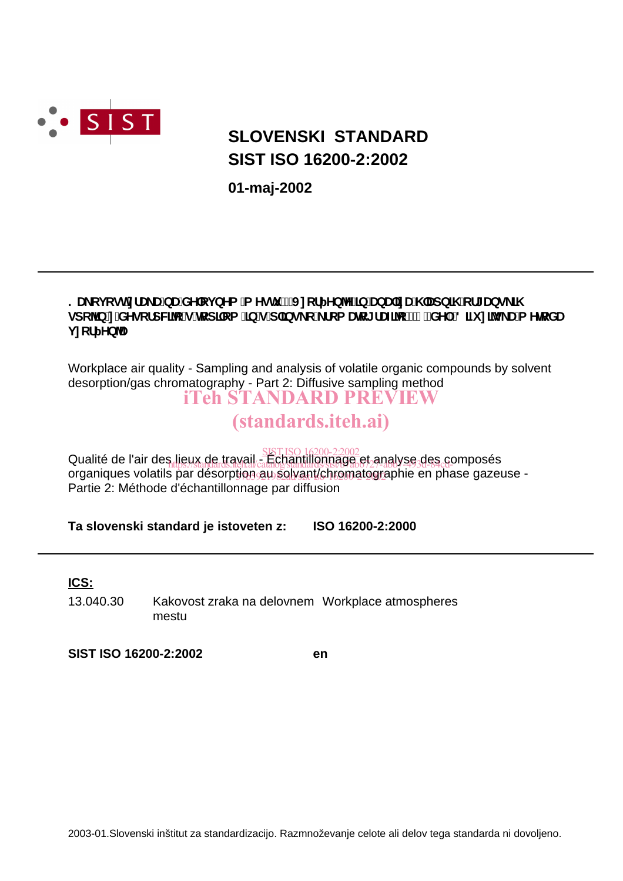

# **SIST ISO 16200-2:2002 SLOVENSKI STANDARD**

**01-maj-2002**

### ? U\_cj cghnf U\_UbUXY cj bYa `a Ygh `!'J ncf Yb^Y']b'UbU]nU\ `Udb]\ `cf[ Ubg\_]\ gdc 1b n XYgcfdW]^c g'hcd]ca ']b g'd`]bg\_c'\_fca Urc[fUZ|^c'!'&"XY.'8]Z n]^g\_Ua YhcXU **jncf** Yb<sup>1</sup>

Workplace air quality - Sampling and analysis of volatile organic compounds by solvent desorption/gas chromatography - Part 2: Diffusive sampling method iTeh STANDARD PREVIEW

# (standards.iteh.ai)

Qualité de l'air des lieux de travail - Échantillonnage et analyse des composés SIST ISO 16200-2:2002 organiques volatils par désorption au solvant/chromatographie en phase gazeuse -Partie 2: Méthode d'échantillonnage par diffusion  $\frac{1}{2}$  https://standards.iteh.al/catalog/standards/sist/b7ab/27-abb7-493d-84cd-

**Ta slovenski standard je istoveten z: ISO 16200-2:2000**

**ICS:**

13.040.30 Kakovost zraka na delovnem Workplace atmospheres mestu

**SIST ISO 16200-2:2002 en**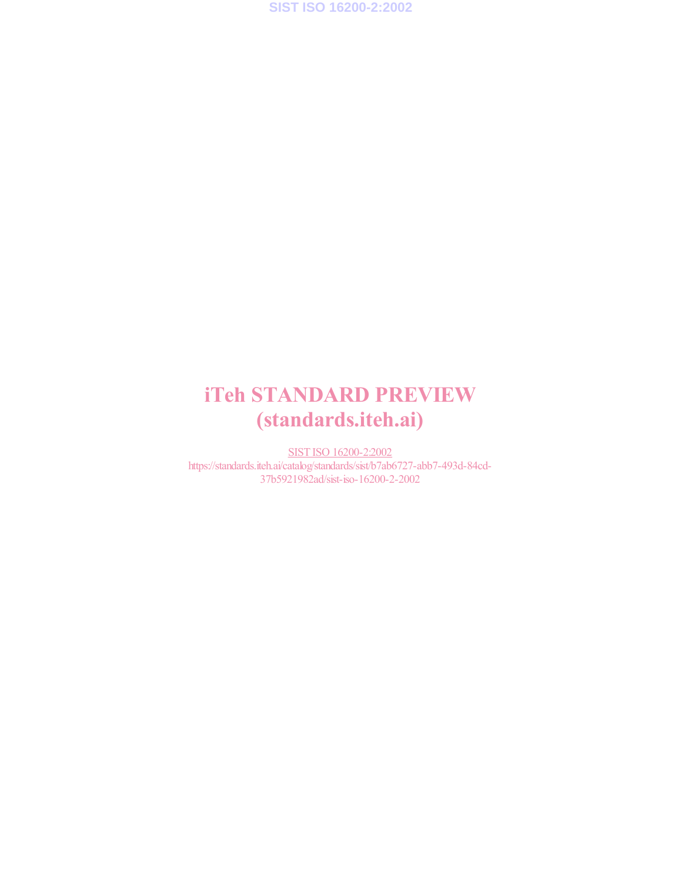**SIST ISO 16200-2:2002**

# iTeh STANDARD PREVIEW (standards.iteh.ai)

SIST ISO 16200-2:2002 https://standards.iteh.ai/catalog/standards/sist/b7ab6727-abb7-493d-84cd-37b5921982ad/sist-iso-16200-2-2002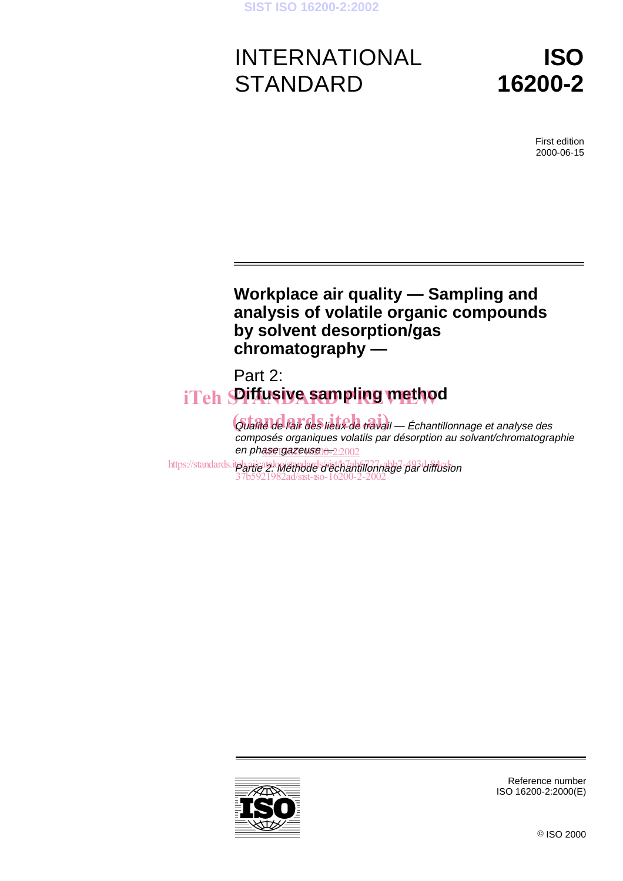# INTERNATIONAL **STANDARD**

**ISO 16200-2**

> First edition 2000-06-15

### **Workplace air quality — Sampling and analysis of volatile organic compounds by solvent desorption/gas chromatography —**

# Part 2: iTeh **SPifusiye sampling method**

Gualité de l'air des lieux de travail — Échantillonnage et analyse des composés organiques volatils par désorption au solvant/chromatographie en ph<u>ase gazeuse n-2:2002</u>

https://standards.itpharteatz.om/standards/rist/h7ahfu7abb7-493d-84fusion 37b5921982ad/sist-iso-16200-2-2002



Reference number ISO 16200-2:2000(E)

© ISO 2000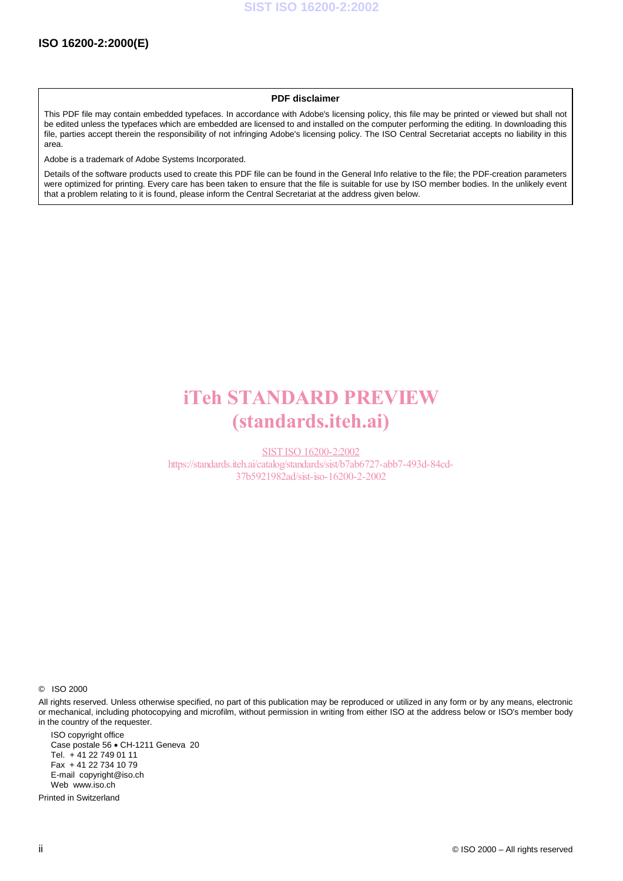#### **PDF disclaimer**

This PDF file may contain embedded typefaces. In accordance with Adobe's licensing policy, this file may be printed or viewed but shall not be edited unless the typefaces which are embedded are licensed to and installed on the computer performing the editing. In downloading this file, parties accept therein the responsibility of not infringing Adobe's licensing policy. The ISO Central Secretariat accepts no liability in this area.

Adobe is a trademark of Adobe Systems Incorporated.

Details of the software products used to create this PDF file can be found in the General Info relative to the file; the PDF-creation parameters were optimized for printing. Every care has been taken to ensure that the file is suitable for use by ISO member bodies. In the unlikely event that a problem relating to it is found, please inform the Central Secretariat at the address given below.

# iTeh STANDARD PREVIEW (standards.iteh.ai)

SIST ISO 16200-2:2002 https://standards.iteh.ai/catalog/standards/sist/b7ab6727-abb7-493d-84cd-37b5921982ad/sist-iso-16200-2-2002

© ISO 2000

All rights reserved. Unless otherwise specified, no part of this publication may be reproduced or utilized in any form or by any means, electronic or mechanical, including photocopying and microfilm, without permission in writing from either ISO at the address below or ISO's member body in the country of the requester.

ISO copyright office Case postale 56 · CH-1211 Geneva 20 Tel. + 41 22 749 01 11 Fax + 41 22 734 10 79 E-mail copyright@iso.ch Web www.iso.ch

Printed in Switzerland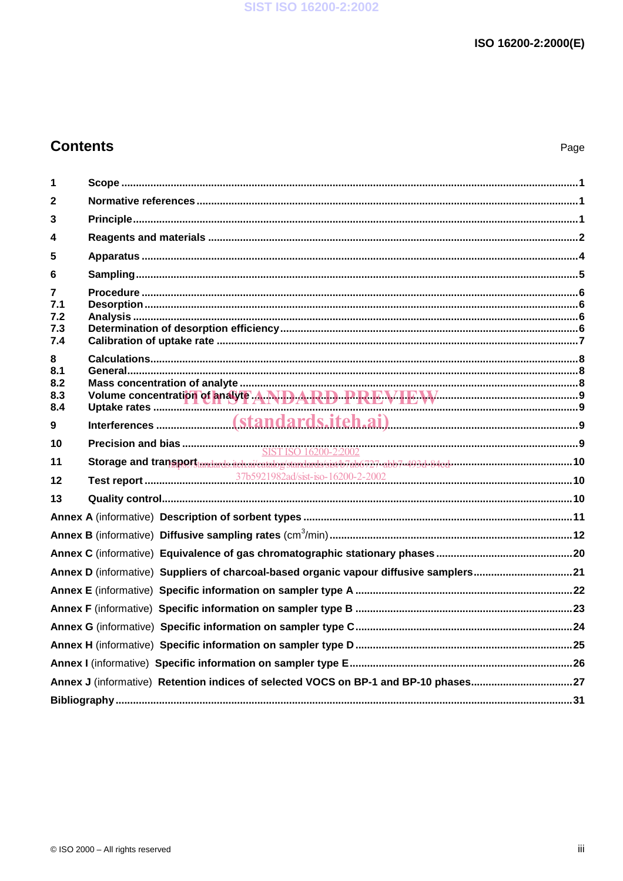### **Contents**

| 1          |                                                                                                                        |  |
|------------|------------------------------------------------------------------------------------------------------------------------|--|
| 2          |                                                                                                                        |  |
| 3          |                                                                                                                        |  |
| 4          |                                                                                                                        |  |
| 5          |                                                                                                                        |  |
| 6          |                                                                                                                        |  |
| 7          |                                                                                                                        |  |
| 7.1        |                                                                                                                        |  |
| 7.2<br>7.3 |                                                                                                                        |  |
| 7.4        |                                                                                                                        |  |
| 8          |                                                                                                                        |  |
| 8.1        |                                                                                                                        |  |
| 8.2<br>8.3 |                                                                                                                        |  |
| 8.4        | Volume concentration of analyte ANDARD PREVIEW                                                                         |  |
| 9          |                                                                                                                        |  |
| 10         |                                                                                                                        |  |
| 11         | Storage and transport moderns tehnikatalogistandarda (att 473) abb 737 abb 7443 black municipal municipal municipal 10 |  |
| 12         |                                                                                                                        |  |
| 13         |                                                                                                                        |  |
|            |                                                                                                                        |  |
|            |                                                                                                                        |  |
|            |                                                                                                                        |  |
|            | Annex D (informative) Suppliers of charcoal-based organic vapour diffusive samplers21                                  |  |
|            |                                                                                                                        |  |
|            |                                                                                                                        |  |
|            |                                                                                                                        |  |
|            |                                                                                                                        |  |
|            |                                                                                                                        |  |
|            | Annex J (informative) Retention indices of selected VOCS on BP-1 and BP-10 phases27                                    |  |
|            |                                                                                                                        |  |
|            |                                                                                                                        |  |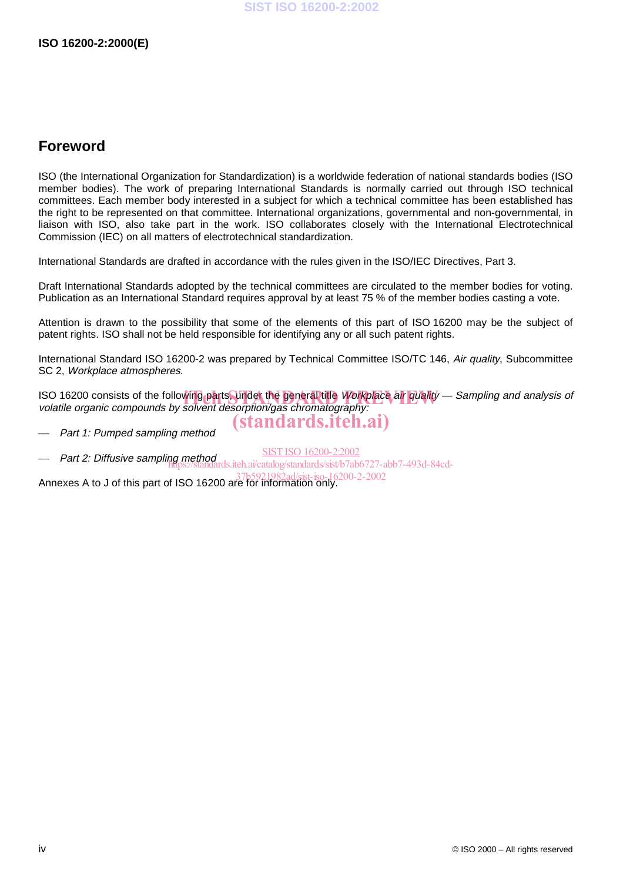### **Foreword**

ISO (the International Organization for Standardization) is a worldwide federation of national standards bodies (ISO member bodies). The work of preparing International Standards is normally carried out through ISO technical committees. Each member body interested in a subject for which a technical committee has been established has the right to be represented on that committee. International organizations, governmental and non-governmental, in liaison with ISO, also take part in the work. ISO collaborates closely with the International Electrotechnical Commission (IEC) on all matters of electrotechnical standardization.

International Standards are drafted in accordance with the rules given in the ISO/IEC Directives, Part 3.

Draft International Standards adopted by the technical committees are circulated to the member bodies for voting. Publication as an International Standard requires approval by at least 75 % of the member bodies casting a vote.

Attention is drawn to the possibility that some of the elements of this part of ISO 16200 may be the subject of patent rights. ISO shall not be held responsible for identifying any or all such patent rights.

International Standard ISO 16200-2 was prepared by Technical Committee ISO/TC 146, Air quality, Subcommittee SC 2, Workplace atmospheres.

ISO 16200 consists of the following parts, under the general title Workplace air quality — Sampling and analysis of<br>volatile organic compounds by solvent desorption/gas chromatography: volatile organic compounds by solvent desorption/gas chromatography:

Part 1: Pumped sampling method

(standards.iteh.ai)

 Part 2: Diffusive sampling method SIST ISO 16200-2:2002 s.iteh.ai/catalog/standards/sist/b7ab6727-abb7-493d-84cd-

Annexes A to J of this part of ISO 16200 are for information only. 37b5921982ad/sist-iso-16200-2-2002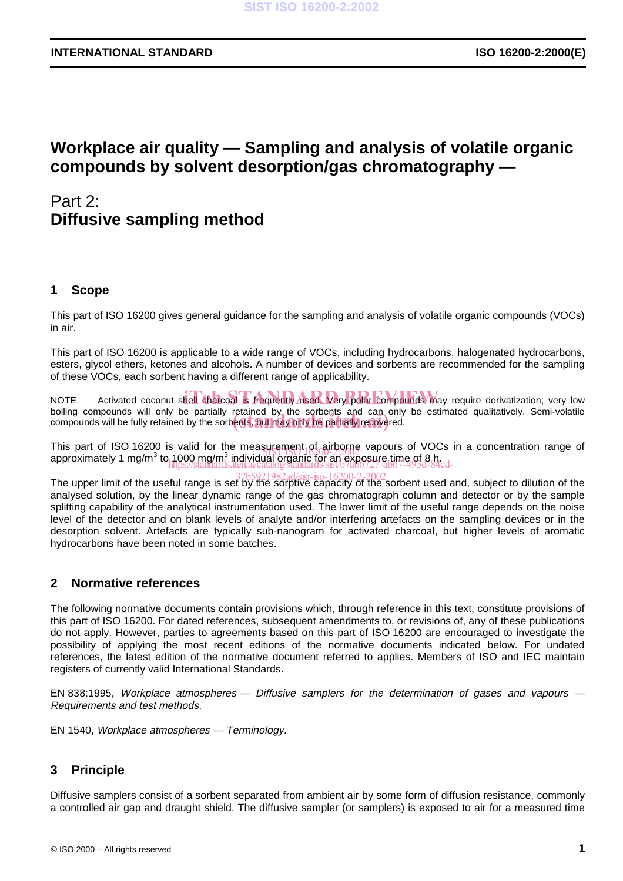### **Workplace air quality — Sampling and analysis of volatile organic compounds by solvent desorption/gas chromatography —**

### Part 2: **Diffusive sampling method**

### **1 Scope**

This part of ISO 16200 gives general guidance for the sampling and analysis of volatile organic compounds (VOCs) in air.

This part of ISO 16200 is applicable to a wide range of VOCs, including hydrocarbons, halogenated hydrocarbons, esters, glycol ethers, ketones and alcohols. A number of devices and sorbents are recommended for the sampling of these VOCs, each sorbent having a different range of applicability.

NOTE Activated coconut shell charcoal is frequently used. Very polar compounds may require derivatization; very low boiling compounds will only be partially retained by the sorbents and can only be estimated qualitatively. Semi-volatile bolling compounds will only be partially retained by the sorbents and can only<br>compounds will be fully retained by the sorbents, but may only be partially recovered.

This part of ISO 16200 is valid for the measurement of airborne vapours of VOCs in a concentration range of This part of 150 16200 is valid for the measurement  $\beta$ , all bottle vapours of VOC<br>approximately 1 mg/m<sup>3</sup> to 1000 mg/m<sup>3</sup> individual organic for an exposure time of 8 h. https://standards.iteh.ai/catalog/standards/sist/b7ab6727-abb7-493d-84cd-

The upper limit of the useful range is set by the sorptive capacity of the sorbent used and, subject to dilution of the analysed solution, by the linear dynamic range of the gas chromatograph column and detector or by the sample splitting capability of the analytical instrumentation used. The lower limit of the useful range depends on the noise level of the detector and on blank levels of analyte and/or interfering artefacts on the sampling devices or in the desorption solvent. Artefacts are typically sub-nanogram for activated charcoal, but higher levels of aromatic hydrocarbons have been noted in some batches.

### **2 Normative references**

The following normative documents contain provisions which, through reference in this text, constitute provisions of this part of ISO 16200. For dated references, subsequent amendments to, or revisions of, any of these publications do not apply. However, parties to agreements based on this part of ISO 16200 are encouraged to investigate the possibility of applying the most recent editions of the normative documents indicated below. For undated references, the latest edition of the normative document referred to applies. Members of ISO and IEC maintain registers of currently valid International Standards.

EN 838:1995, Workplace atmospheres — Diffusive samplers for the determination of gases and vapours — Requirements and test methods.

EN 1540, Workplace atmospheres — Terminology.

### **3 Principle**

Diffusive samplers consist of a sorbent separated from ambient air by some form of diffusion resistance, commonly a controlled air gap and draught shield. The diffusive sampler (or samplers) is exposed to air for a measured time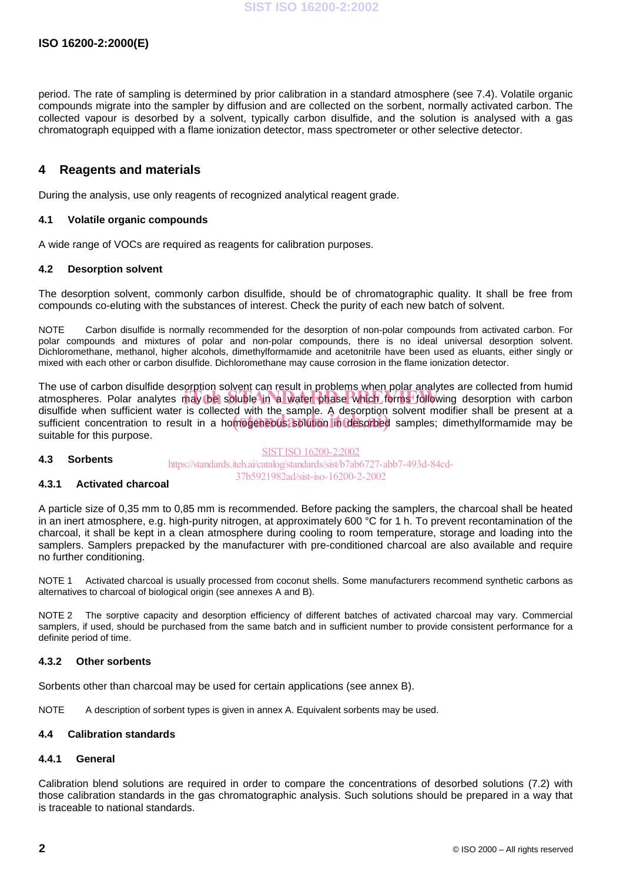period. The rate of sampling is determined by prior calibration in a standard atmosphere (see 7.4). Volatile organic compounds migrate into the sampler by diffusion and are collected on the sorbent, normally activated carbon. The collected vapour is desorbed by a solvent, typically carbon disulfide, and the solution is analysed with a gas chromatograph equipped with a flame ionization detector, mass spectrometer or other selective detector.

### **4 Reagents and materials**

During the analysis, use only reagents of recognized analytical reagent grade.

### **4.1 Volatile organic compounds**

A wide range of VOCs are required as reagents for calibration purposes.

### **4.2 Desorption solvent**

The desorption solvent, commonly carbon disulfide, should be of chromatographic quality. It shall be free from compounds co-eluting with the substances of interest. Check the purity of each new batch of solvent.

NOTE Carbon disulfide is normally recommended for the desorption of non-polar compounds from activated carbon. For polar compounds and mixtures of polar and non-polar compounds, there is no ideal universal desorption solvent. Dichloromethane, methanol, higher alcohols, dimethylformamide and acetonitrile have been used as eluants, either singly or mixed with each other or carbon disulfide. Dichloromethane may cause corrosion in the flame ionization detector.

The use of carbon disulfide desorption solvent can result in problems when polar analytes are collected from humid The use of canoni disulfule desorption solvent can result in problems when polar analyties are collected from humid<br>atmospheres. Polar analytes may be soluble in a water phase which forms following desorption with carbon disulfide when sufficient water is collected with the sample. A desorption solvent modifier shall be present at a disulfide when sufficient water is collected with the sample. A desorbing solvent modifier shall be present at a<br>sufficient concentration to result in a homogeneous solution in desorbed samples; dimethylformamide may be suitable for this purpose.

#### **4.3 Sorbents** SIST ISO 16200-2:2002 https://standards.iteh.ai/catalog/standards/sist/b7ab6727-abb7-493d-84cd-37b5921982ad/sist-iso-16200-2-2002

### **4.3.1 Activated charcoal**

A particle size of 0,35 mm to 0,85 mm is recommended. Before packing the samplers, the charcoal shall be heated in an inert atmosphere, e.g. high-purity nitrogen, at approximately 600 °C for 1 h. To prevent recontamination of the charcoal, it shall be kept in a clean atmosphere during cooling to room temperature, storage and loading into the samplers. Samplers prepacked by the manufacturer with pre-conditioned charcoal are also available and require no further conditioning.

NOTE 1 Activated charcoal is usually processed from coconut shells. Some manufacturers recommend synthetic carbons as alternatives to charcoal of biological origin (see annexes A and B).

NOTE 2 The sorptive capacity and desorption efficiency of different batches of activated charcoal may vary. Commercial samplers, if used, should be purchased from the same batch and in sufficient number to provide consistent performance for a definite period of time.

### **4.3.2 Other sorbents**

Sorbents other than charcoal may be used for certain applications (see annex B).

NOTE A description of sorbent types is given in annex A. Equivalent sorbents may be used.

#### **4.4 Calibration standards**

#### **4.4.1 General**

Calibration blend solutions are required in order to compare the concentrations of desorbed solutions (7.2) with those calibration standards in the gas chromatographic analysis. Such solutions should be prepared in a way that is traceable to national standards.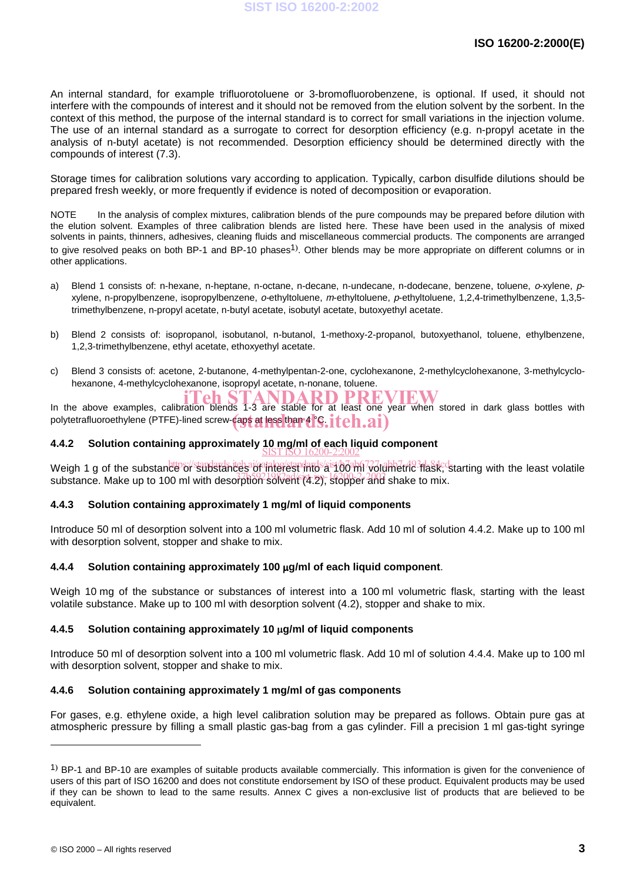An internal standard, for example trifluorotoluene or 3-bromofluorobenzene, is optional. If used, it should not interfere with the compounds of interest and it should not be removed from the elution solvent by the sorbent. In the context of this method, the purpose of the internal standard is to correct for small variations in the injection volume. The use of an internal standard as a surrogate to correct for desorption efficiency (e.g. n-propyl acetate in the analysis of n-butyl acetate) is not recommended. Desorption efficiency should be determined directly with the compounds of interest (7.3).

Storage times for calibration solutions vary according to application. Typically, carbon disulfide dilutions should be prepared fresh weekly, or more frequently if evidence is noted of decomposition or evaporation.

NOTE In the analysis of complex mixtures, calibration blends of the pure compounds may be prepared before dilution with the elution solvent. Examples of three calibration blends are listed here. These have been used in the analysis of mixed solvents in paints, thinners, adhesives, cleaning fluids and miscellaneous commercial products. The components are arranged to give resolved peaks on both BP-1 and BP-10 phases<sup>1)</sup>. Other blends may be more appropriate on different columns or in other applications.

- a) Blend 1 consists of: n-hexane, n-heptane, n-octane, n-decane, n-undecane, n-dodecane, benzene, toluene, o-xylene, pxylene, n-propylbenzene, isopropylbenzene, o-ethyltoluene, <sup>m</sup>-ethyltoluene, p-ethyltoluene, 1,2,4-trimethylbenzene, 1,3,5 trimethylbenzene, n-propyl acetate, n-butyl acetate, isobutyl acetate, butoxyethyl acetate.
- b) Blend 2 consists of: isopropanol, isobutanol, n-butanol, 1-methoxy-2-propanol, butoxyethanol, toluene, ethylbenzene, 1,2,3-trimethylbenzene, ethyl acetate, ethoxyethyl acetate.
- c) Blend 3 consists of: acetone, 2-butanone, 4-methylpentan-2-one, cyclohexanone, 2-methylcyclohexanone, 3-methylcyclohexanone, 4-methylcyclohexanone, isopropyl acetate, n-nonane, toluene.

IN the above examples, calibration blends 1-3 are stable for at least one year when stored in dark glass bottles with polytetrafluoroethylene (PTFE)-lined screw-caps at less than 4 °C. iteh.ai)

### **4.4.2 Solution containing approximately 10 mg/ml of each liquid component** SIST ISO 16200-2:2002

Weigh 1 g of the substance or substances of interest into a 100 ml volumetric flask, starting with the least volatile substance. Make up to 100 ml with desorption solvent (4.2), stopper and shake to mix.

### **4.4.3 Solution containing approximately 1 mg/ml of liquid components**

Introduce 50 ml of desorption solvent into a 100 ml volumetric flask. Add 10 ml of solution 4.4.2. Make up to 100 ml with desorption solvent, stopper and shake to mix.

### **4.4.4 Solution containing approximately 100 g/ml of each liquid component**.

Weigh 10 mg of the substance or substances of interest into a 100 ml volumetric flask, starting with the least volatile substance. Make up to 100 ml with desorption solvent (4.2), stopper and shake to mix.

### **4.4.5 Solution containing approximately 10 g/ml of liquid components**

Introduce 50 ml of desorption solvent into a 100 ml volumetric flask. Add 10 ml of solution 4.4.4. Make up to 100 ml with desorption solvent, stopper and shake to mix.

### **4.4.6 Solution containing approximately 1 mg/ml of gas components**

For gases, e.g. ethylene oxide, a high level calibration solution may be prepared as follows. Obtain pure gas at atmospheric pressure by filling a small plastic gas-bag from a gas cylinder. Fill a precision 1 ml gas-tight syringe

<sup>&</sup>lt;sup>1</sup>) BP-1 and BP-10 are examples of suitable products available commercially. This information is given for the convenience of users of this part of ISO 16200 and does not constitute endorsement by ISO of these product. Equivalent products may be used if they can be shown to lead to the same results. Annex C gives a non-exclusive list of products that are believed to be equivalent.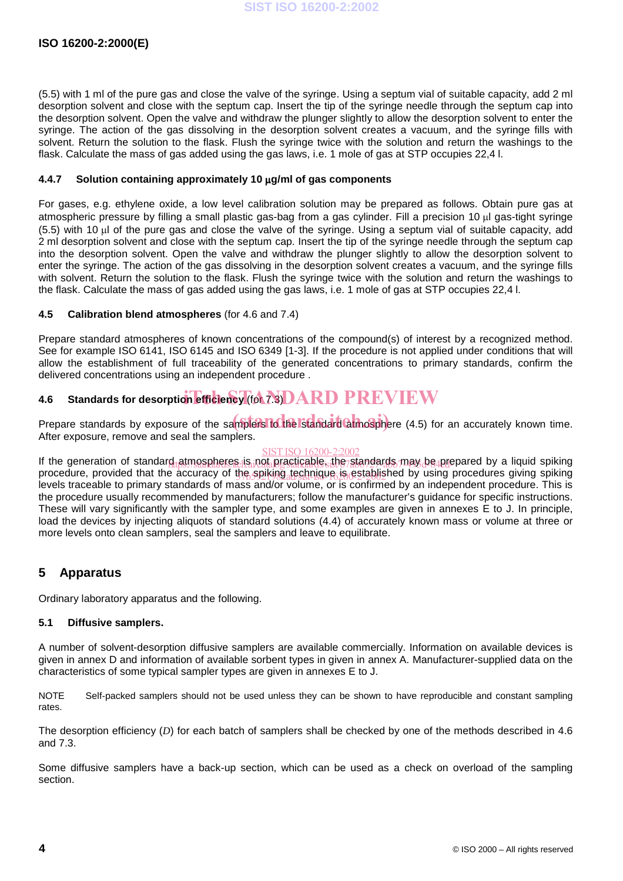(5.5) with 1 ml of the pure gas and close the valve of the syringe. Using a septum vial of suitable capacity, add 2 ml desorption solvent and close with the septum cap. Insert the tip of the syringe needle through the septum cap into the desorption solvent. Open the valve and withdraw the plunger slightly to allow the desorption solvent to enter the syringe. The action of the gas dissolving in the desorption solvent creates a vacuum, and the syringe fills with solvent. Return the solution to the flask. Flush the syringe twice with the solution and return the washings to the flask. Calculate the mass of gas added using the gas laws, i.e. 1 mole of gas at STP occupies 22,4 l.

### **4.4.7 Solution containing approximately 10 g/ml of gas components**

For gases, e.g. ethylene oxide, a low level calibration solution may be prepared as follows. Obtain pure gas at atmospheric pressure by filling a small plastic gas-bag from a gas cylinder. Fill a precision 10 ul gas-tight syringe (5.5) with 10 ul of the pure gas and close the valve of the syringe. Using a septum vial of suitable capacity, add 2 ml desorption solvent and close with the septum cap. Insert the tip of the syringe needle through the septum cap into the desorption solvent. Open the valve and withdraw the plunger slightly to allow the desorption solvent to enter the syringe. The action of the gas dissolving in the desorption solvent creates a vacuum, and the syringe fills with solvent. Return the solution to the flask. Flush the syringe twice with the solution and return the washings to the flask. Calculate the mass of gas added using the gas laws, i.e. 1 mole of gas at STP occupies 22,4 l.

### **4.5 Calibration blend atmospheres** (for 4.6 and 7.4)

Prepare standard atmospheres of known concentrations of the compound(s) of interest by a recognized method. See for example ISO 6141, ISO 6145 and ISO 6349 [1-3]. If the procedure is not applied under conditions that will allow the establishment of full traceability of the generated concentrations to primary standards, confirm the delivered concentrations using an independent procedure .

# **4.6** Standards for desorption efficiency (for 7.3) DARD PREVIEW

Prepare standards by exposure of the samplers to the Istandard atmosphere (4.5) for an accurately known time. After exposure, remove and seal the samplers.

### SIST ISO 16200-2:2002

If the generation of standard atmospheres is not practicable, the standards may be prepared by a liquid spiking procedure, provided that the accuracy of the spiking technique is established by using procedures giving spiking levels traceable to primary standards of mass and/or volume, or is confirmed by an independent procedure. This is the procedure usually recommended by manufacturers; follow the manufacturer's guidance for specific instructions. These will vary significantly with the sampler type, and some examples are given in annexes E to J. In principle, load the devices by injecting aliquots of standard solutions (4.4) of accurately known mass or volume at three or more levels onto clean samplers, seal the samplers and leave to equilibrate.

### **5 Apparatus**

Ordinary laboratory apparatus and the following.

### **5.1 Diffusive samplers.**

A number of solvent-desorption diffusive samplers are available commercially. Information on available devices is given in annex D and information of available sorbent types in given in annex A. Manufacturer-supplied data on the characteristics of some typical sampler types are given in annexes E to J.

NOTE Self-packed samplers should not be used unless they can be shown to have reproducible and constant sampling rates.

The desorption efficiency (*D*) for each batch of samplers shall be checked by one of the methods described in 4.6 and 7.3.

Some diffusive samplers have a back-up section, which can be used as a check on overload of the sampling section.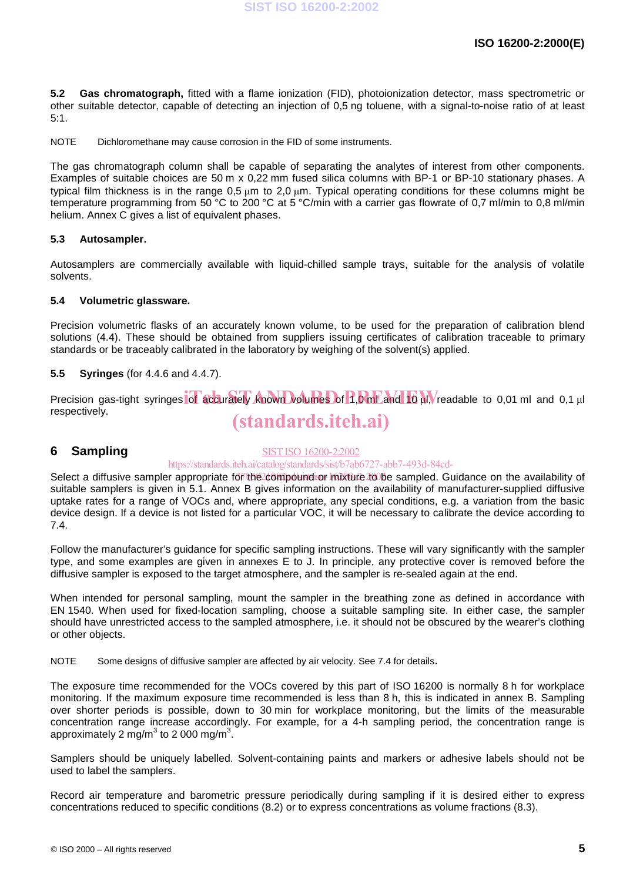**5.2 Gas chromatograph,** fitted with a flame ionization (FID), photoionization detector, mass spectrometric or other suitable detector, capable of detecting an injection of 0,5 ng toluene, with a signal-to-noise ratio of at least 5:1.

NOTE Dichloromethane may cause corrosion in the FID of some instruments.

The gas chromatograph column shall be capable of separating the analytes of interest from other components. Examples of suitable choices are 50 m x 0,22 mm fused silica columns with BP-1 or BP-10 stationary phases. A typical film thickness is in the range 0.5 um to 2.0 um. Typical operating conditions for these columns might be temperature programming from 50 °C to 200 °C at 5 °C/min with a carrier gas flowrate of 0,7 ml/min to 0,8 ml/min helium. Annex C gives a list of equivalent phases.

### **5.3 Autosampler.**

Autosamplers are commercially available with liquid-chilled sample trays, suitable for the analysis of volatile solvents.

### **5.4 Volumetric glassware.**

Precision volumetric flasks of an accurately known volume, to be used for the preparation of calibration blend solutions (4.4). These should be obtained from suppliers issuing certificates of calibration traceable to primary standards or be traceably calibrated in the laboratory by weighing of the solvent(s) applied.

### **5.5 Syringes** (for 4.4.6 and 4.4.7).

Precision gas-tight syringes of accurately known volumes of 1,0 ml and 10 M, readable to 0,01 ml and 0,1 µl respectively. (standards.iteh.ai)

### **6 Sampling**

### SIST ISO 16200-2:2002

### https://standards.iteh.ai/catalog/standards/sist/b7ab6727-abb7-493d-84cd-

Select a diffusive sampler appropriate for the compound or mixture 100 be sampled. Guidance on the availability of suitable samplers is given in 5.1. Annex B gives information on the availability of manufacturer-supplied diffusive uptake rates for a range of VOCs and, where appropriate, any special conditions, e.g. a variation from the basic device design. If a device is not listed for a particular VOC, it will be necessary to calibrate the device according to 7.4.

Follow the manufacturer's guidance for specific sampling instructions. These will vary significantly with the sampler type, and some examples are given in annexes E to J. In principle, any protective cover is removed before the diffusive sampler is exposed to the target atmosphere, and the sampler is re-sealed again at the end.

When intended for personal sampling, mount the sampler in the breathing zone as defined in accordance with EN 1540. When used for fixed-location sampling, choose a suitable sampling site. In either case, the sampler should have unrestricted access to the sampled atmosphere, i.e. it should not be obscured by the wearer's clothing or other objects.

NOTE Some designs of diffusive sampler are affected by air velocity. See 7.4 for details.

The exposure time recommended for the VOCs covered by this part of ISO 16200 is normally 8 h for workplace monitoring. If the maximum exposure time recommended is less than 8 h, this is indicated in annex B. Sampling over shorter periods is possible, down to 30 min for workplace monitoring, but the limits of the measurable concentration range increase accordingly. For example, for a 4-h sampling period, the concentration range is approximately 2 mg/m $^3$  to 2 000 mg/m $^3$ .

Samplers should be uniquely labelled. Solvent-containing paints and markers or adhesive labels should not be used to label the samplers.

Record air temperature and barometric pressure periodically during sampling if it is desired either to express concentrations reduced to specific conditions (8.2) or to express concentrations as volume fractions (8.3).